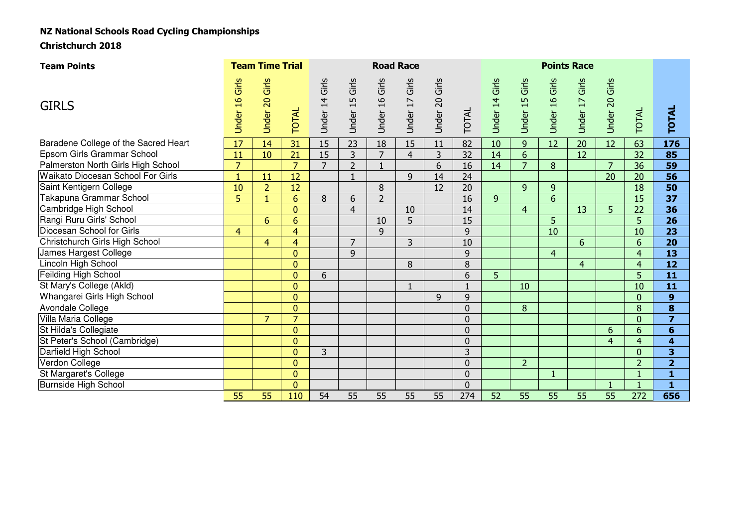# NZ National Schools Road Cycling Championships

Christchurch 2018

| <b>Team Points</b>                   |                | <b>Team Time Trial</b> |                | <b>Road Race</b> |                |                |                   |                |                |                |                 |                 |                |                |                |                         |
|--------------------------------------|----------------|------------------------|----------------|------------------|----------------|----------------|-------------------|----------------|----------------|----------------|-----------------|-----------------|----------------|----------------|----------------|-------------------------|
| <b>GIRLS</b>                         | Under 16 Girls | Under 20 Girls         | <b>TOTAL</b>   | Under 14 Girls   | Under 15 Girls | Jnder 16 Girls | Girls<br>Under 17 | Under 20 Girls | TOTAL          | Under 14 Girls | Under 15 Girls  | Under 16 Girls  | Under 17 Girls | Under 20 Girls | TOTAL          | <b>TOTAL</b>            |
| Baradene College of the Sacred Heart | 17             | 14                     | 31             | 15               | 23             | 18             | 15                | 11             | 82             | 10             | 9               | 12              | 20             | 12             | 63             | 176                     |
| Epsom Girls Grammar School           | 11             | 10                     | 21             | 15               | 3              | $\overline{7}$ | $\overline{4}$    | 3              | 32             | 14             | $6\overline{6}$ |                 | 12             |                | 32             | 85                      |
| Palmerston North Girls High School   | $\overline{7}$ |                        | $\overline{7}$ | $\overline{7}$   | $\overline{2}$ | $\overline{1}$ |                   | 6              | 16             | 14             | $\overline{7}$  | 8               |                | $\overline{7}$ | 36             | 59                      |
| Waikato Diocesan School For Girls    | $\mathbf{1}$   | 11                     | 12             |                  | $1\,$          |                | 9                 | 14             | 24             |                |                 |                 |                | 20             | 20             | 56                      |
| Saint Kentigern College              | 10             | $\overline{2}$         | 12             |                  |                | 8              |                   | 12             | 20             |                | $\overline{9}$  | 9               |                |                | 18             | 50                      |
| Takapuna Grammar School              | $\overline{5}$ | $\mathbf{1}$           | 6              | 8                | 6              | $\overline{2}$ |                   |                | 16             | 9              |                 | $6\overline{6}$ |                |                | 15             | 37                      |
| Cambridge High School                |                |                        | $\Omega$       |                  | $\overline{4}$ |                | 10                |                | 14             |                | $\overline{4}$  |                 | 13             | 5              | 22             | 36                      |
| Rangi Ruru Girls' School             |                | $6\overline{6}$        | 6              |                  |                | 10             | 5                 |                | 15             |                |                 | 5               |                |                | 5              | 26                      |
| Diocesan School for Girls            | $\overline{4}$ |                        | 4              |                  |                | 9              |                   |                | 9              |                |                 | 10              |                |                | 10             | 23                      |
| Christchurch Girls High School       |                | $\overline{4}$         | $\overline{4}$ |                  | $\overline{7}$ |                | 3                 |                | 10             |                |                 |                 | 6              |                | 6              | 20                      |
| James Hargest College                |                |                        | $\bf{0}$       |                  | 9              |                |                   |                | 9              |                |                 | $\overline{4}$  |                |                | 4              | 13                      |
| Lincoln High School                  |                |                        | $\mathbf{0}$   |                  |                |                | 8                 |                | 8              |                |                 |                 | $\overline{4}$ |                | $\overline{4}$ | 12                      |
| Feilding High School                 |                |                        | $\overline{0}$ | 6                |                |                |                   |                | 6              | 5              |                 |                 |                |                | 5              | 11                      |
| St Mary's College (Akld)             |                |                        | $\overline{0}$ |                  |                |                | $\mathbf{1}$      |                | $\mathbf{1}$   |                | 10              |                 |                |                | 10             | 11                      |
| Whangarei Girls High School          |                |                        | $\mathbf{0}$   |                  |                |                |                   | 9              | 9              |                |                 |                 |                |                | $\overline{0}$ | $\boldsymbol{9}$        |
| Avondale College                     |                |                        | $\overline{0}$ |                  |                |                |                   |                | $\overline{0}$ |                | 8               |                 |                |                | 8              | 8                       |
| Villa Maria College                  |                | $\overline{7}$         | $\overline{7}$ |                  |                |                |                   |                | $\mathbf 0$    |                |                 |                 |                |                | $\overline{0}$ | $\overline{7}$          |
| St Hilda's Collegiate                |                |                        | $\mathbf{0}$   |                  |                |                |                   |                | $\overline{0}$ |                |                 |                 |                | 6              | 6              | $6\phantom{1}6$         |
| St Peter's School (Cambridge)        |                |                        | $\mathbf{0}$   |                  |                |                |                   |                | $\overline{0}$ |                |                 |                 |                | $\overline{4}$ | $\overline{4}$ | 4                       |
| Darfield High School                 |                |                        | $\mathbf{0}$   | 3                |                |                |                   |                | 3              |                |                 |                 |                |                | $\Omega$       | $\overline{\mathbf{3}}$ |
| Verdon College                       |                |                        | $\overline{0}$ |                  |                |                |                   |                | $\overline{0}$ |                | $\overline{2}$  |                 |                |                | $\overline{2}$ | $\overline{\mathbf{2}}$ |
| St Margaret's College                |                |                        | $\overline{0}$ |                  |                |                |                   |                | $\overline{0}$ |                |                 | $\mathbf{1}$    |                |                | $\mathbf{1}$   | $\mathbf{1}$            |
| <b>Burnside High School</b>          |                |                        | $\overline{0}$ |                  |                |                |                   |                | $\overline{0}$ |                |                 |                 |                |                |                | 1                       |
|                                      | 55             | 55                     | 110            | 54               | 55             | 55             | 55                | 55             | 274            | 52             | 55              | 55              | 55             | 55             | 272            | 656                     |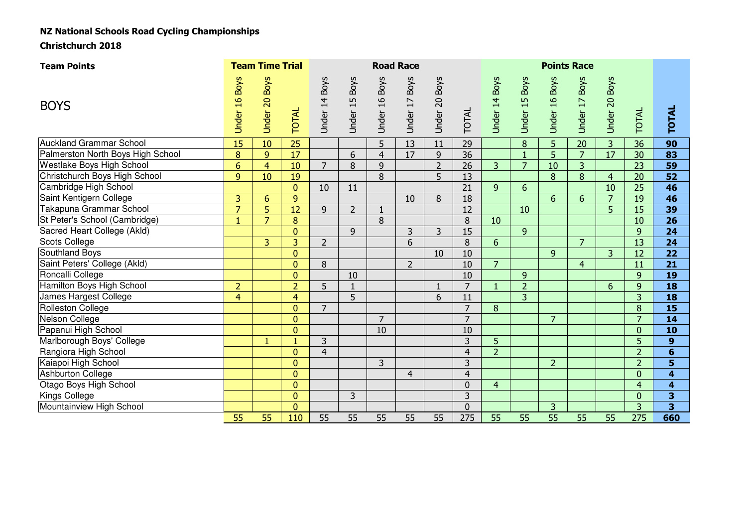# NZ National Schools Road Cycling Championships

Christchurch 2018

| <b>Team Points</b>                |                | <b>Team Time Trial</b> |                | <b>Road Race</b> |                |                |                |                |                |                |                |                 |                |                |                |                  |
|-----------------------------------|----------------|------------------------|----------------|------------------|----------------|----------------|----------------|----------------|----------------|----------------|----------------|-----------------|----------------|----------------|----------------|------------------|
| <b>BOYS</b>                       | Under 16 Boys  | Under 20 Boys          | <b>TOTAL</b>   | Under 14 Boys    | Under 15 Boys  | Under 16 Boys  | Under 17 Boys  | Under 20 Boys  | TOTAL          | Jnder 14 Boys  | Under 15 Boys  | Under 16 Boys   | Under 17 Boys  | Under 20 Boys  | TOTAL          | <b>TOTAL</b>     |
| <b>Auckland Grammar School</b>    | 15             | 10                     | 25             |                  |                | 5              | 13             | 11             | 29             |                | 8              | 5               | 20             | $\overline{3}$ | 36             | 90               |
| Palmerston North Boys High School | 8              | 9                      | 17             |                  | 6              | $\overline{4}$ | 17             | 9              | 36             |                | 1              | 5               | $\overline{7}$ | 17             | 30             | 83               |
| Westlake Boys High School         | 6              | $\overline{4}$         | 10             | $\overline{7}$   | 8              | 9              |                | $\overline{2}$ | 26             | $\overline{3}$ | $\overline{7}$ | 10              | 3              |                | 23             | 59               |
| Christchurch Boys High School     | 9 <sup>°</sup> | 10                     | 19             |                  |                | 8              |                | 5              | 13             |                |                | 8               | 8              | $\overline{4}$ | 20             | 52               |
| Cambridge High School             |                |                        | $\mathbf{0}$   | 10               | 11             |                |                |                | 21             | 9              | 6              |                 |                | 10             | 25             | 46               |
| Saint Kentigern College           | $\overline{3}$ | 6                      | 9              |                  |                |                | 10             | 8              | 18             |                |                | 6               | 6              | $\overline{7}$ | 19             | 46               |
| Takapuna Grammar School           | $\overline{7}$ | 5                      | 12             | 9                | $\overline{2}$ | $\mathbf{1}$   |                |                | 12             |                | 10             |                 |                | 5              | 15             | 39               |
| St Peter's School (Cambridge)     | $\mathbf{1}$   | $\overline{7}$         | 8              |                  |                | 8              |                |                | 8              | 10             |                |                 |                |                | 10             | 26               |
| Sacred Heart College (Akld)       |                |                        | $\overline{0}$ |                  | 9              |                | 3              | 3              | 15             |                | 9              |                 |                |                | 9              | 24               |
| <b>Scots College</b>              |                | 3                      | 3              | $\overline{2}$   |                |                | 6              |                | 8              | 6              |                |                 | $\overline{7}$ |                | 13             | 24               |
| Southland Boys                    |                |                        | 0              |                  |                |                |                | 10             | 10             |                |                | 9               |                | 3              | 12             | 22               |
| Saint Peters' College (Akld)      |                |                        | $\mathbf{0}$   | 8                |                |                | $\overline{2}$ |                | 10             | $\overline{7}$ |                |                 | $\overline{4}$ |                | 11             | 21               |
| Roncalli College                  |                |                        | $\mathbf{0}$   |                  | 10             |                |                |                | 10             |                | 9              |                 |                |                | $\mathbf{q}$   | 19               |
| Hamilton Boys High School         | $\overline{2}$ |                        | $\overline{2}$ | 5                | $\mathbf{1}$   |                |                |                | 7              | $\mathbf{1}$   | $\overline{2}$ |                 |                | 6              | 9              | 18               |
| James Hargest College             | $\overline{4}$ |                        | $\overline{4}$ |                  | 5              |                |                | 6              | 11             |                | 3              |                 |                |                | 3              | 18               |
| <b>Rolleston College</b>          |                |                        | $\mathbf{0}$   | $\overline{7}$   |                |                |                |                | $\overline{7}$ | 8              |                |                 |                |                | 8              | 15               |
| Nelson College                    |                |                        | $\mathbf{0}$   |                  |                | $\overline{7}$ |                |                | $\overline{7}$ |                |                | $\overline{7}$  |                |                | $\overline{7}$ | 14               |
| Papanui High School               |                |                        | $\mathbf{0}$   |                  |                | 10             |                |                | 10             |                |                |                 |                |                | $\Omega$       | 10               |
| Marlborough Boys' College         |                | 1                      | 1              | 3                |                |                |                |                | 3              | 5              |                |                 |                |                | 5              | $\boldsymbol{9}$ |
| Rangiora High School              |                |                        | $\mathbf{0}$   | $\overline{4}$   |                |                |                |                | $\overline{4}$ | $\overline{2}$ |                |                 |                |                | $\overline{2}$ | $6\phantom{1}$   |
| Kaiapoi High School               |                |                        | $\mathbf{0}$   |                  |                | 3              |                |                | 3              |                |                | $\overline{2}$  |                |                | $\overline{2}$ | 5                |
| <b>Ashburton College</b>          |                |                        | $\mathbf{0}$   |                  |                |                | $\overline{4}$ |                | $\overline{4}$ |                |                |                 |                |                | $\overline{0}$ | 4                |
| Otago Boys High School            |                |                        | $\mathbf{0}$   |                  |                |                |                |                | $\mathbf 0$    | $\overline{4}$ |                |                 |                |                | $\overline{4}$ | 4                |
| Kings College                     |                |                        | $\mathbf{0}$   |                  | 3              |                |                |                | 3              |                |                |                 |                |                | $\overline{0}$ | 3                |
| Mountainview High School          |                |                        | $\overline{0}$ |                  |                |                |                |                | $\overline{0}$ |                |                | 3               |                |                | $\overline{3}$ | 3                |
|                                   | 55             | 55                     | 110            | 55               | 55             | 55             | 55             | 55             | 275            | 55             | 55             | $\overline{55}$ | 55             | 55             | 275            | 660              |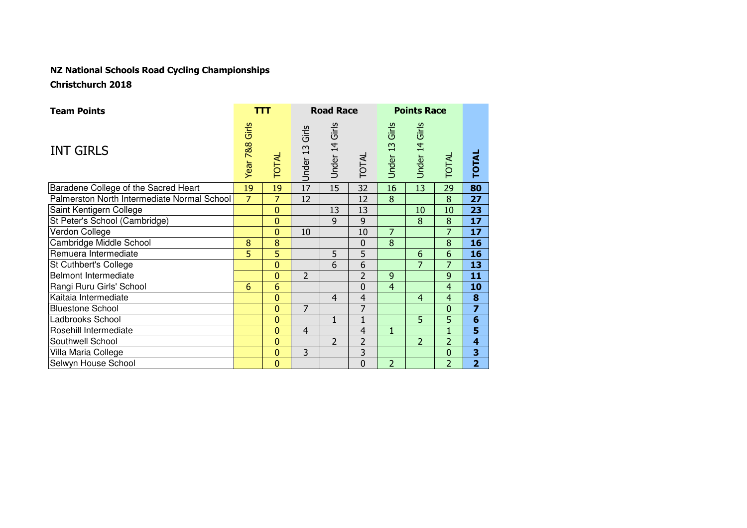# NZ National Schools Road Cycling ChampionshipsChristchurch 2018

| <b>Team Points</b>                          |                | ттт             |                   | <b>Road Race</b> |                |                   | <b>Points Race</b> |                |                         |
|---------------------------------------------|----------------|-----------------|-------------------|------------------|----------------|-------------------|--------------------|----------------|-------------------------|
| <b>INT GIRLS</b>                            | Year 788 Girls | <b>TOTAL</b>    | Girls<br>Under 13 | Under 14 Girls   | TOTAL          | Girls<br>Under 13 | Girls<br>Under 14  | <b>TOTAL</b>   | <b>TOTAL</b>            |
| Baradene College of the Sacred Heart        | 19             | 19              | 17                | 15               | 32             | 16                | 13                 | 29             | 80                      |
| Palmerston North Intermediate Normal School | $\overline{7}$ | $\overline{7}$  | 12                |                  | 12             | 8                 |                    | 8              | 27                      |
| Saint Kentigern College                     |                | $\mathbf{0}$    |                   | 13               | 13             |                   | 10                 | 10             | 23                      |
| St Peter's School (Cambridge)               |                | $\mathbf{0}$    |                   | 9                | 9              |                   | 8                  | 8              | 17                      |
| Verdon College                              |                | $\mathbf{0}$    | 10                |                  | 10             | $\overline{7}$    |                    | $\overline{7}$ | 17                      |
| Cambridge Middle School                     | 8              | 8               |                   |                  | $\mathbf 0$    | 8                 |                    | 8              | 16                      |
| Remuera Intermediate                        | 5              | 5               |                   | 5                | 5              |                   | 6                  | 6              | 16                      |
| St Cuthbert's College                       |                | $\overline{0}$  |                   | 6                | 6              |                   | $\overline{7}$     | $\overline{7}$ | 13                      |
| Belmont Intermediate                        |                | $\overline{0}$  | $\overline{2}$    |                  | $\overline{2}$ | 9                 |                    | 9              | 11                      |
| Rangi Ruru Girls' School                    | 6              | $6\phantom{1}6$ |                   |                  | $\overline{0}$ | $\overline{4}$    |                    | $\overline{4}$ | 10                      |
| Kaitaia Intermediate                        |                | $\overline{0}$  |                   | $\overline{4}$   | 4              |                   | $\overline{4}$     | $\overline{4}$ | 8                       |
| <b>Bluestone School</b>                     |                | $\mathbf{0}$    | $\overline{7}$    |                  | 7              |                   |                    | $\mathbf 0$    | $\overline{z}$          |
| Ladbrooks School                            |                | $\mathbf{0}$    |                   | $\mathbf{1}$     | $\mathbf{1}$   |                   | 5                  | 5              | $6\phantom{1}$          |
| Rosehill Intermediate                       |                | $\mathbf{0}$    | $\overline{4}$    |                  | $\overline{4}$ | $\overline{1}$    |                    | $\mathbf{1}$   | 5                       |
| Southwell School                            |                | $\overline{0}$  |                   | $\overline{2}$   | $\overline{2}$ |                   | $\overline{2}$     | $\overline{2}$ | $\overline{\mathbf{4}}$ |
| Villa Maria College                         |                | $\mathbf{0}$    | $\overline{3}$    |                  | 3              |                   |                    | $\mathbf 0$    | 3                       |
| Selwyn House School                         |                | $\mathbf{0}$    |                   |                  | $\overline{0}$ | $\overline{2}$    |                    | $\overline{2}$ | $\overline{2}$          |